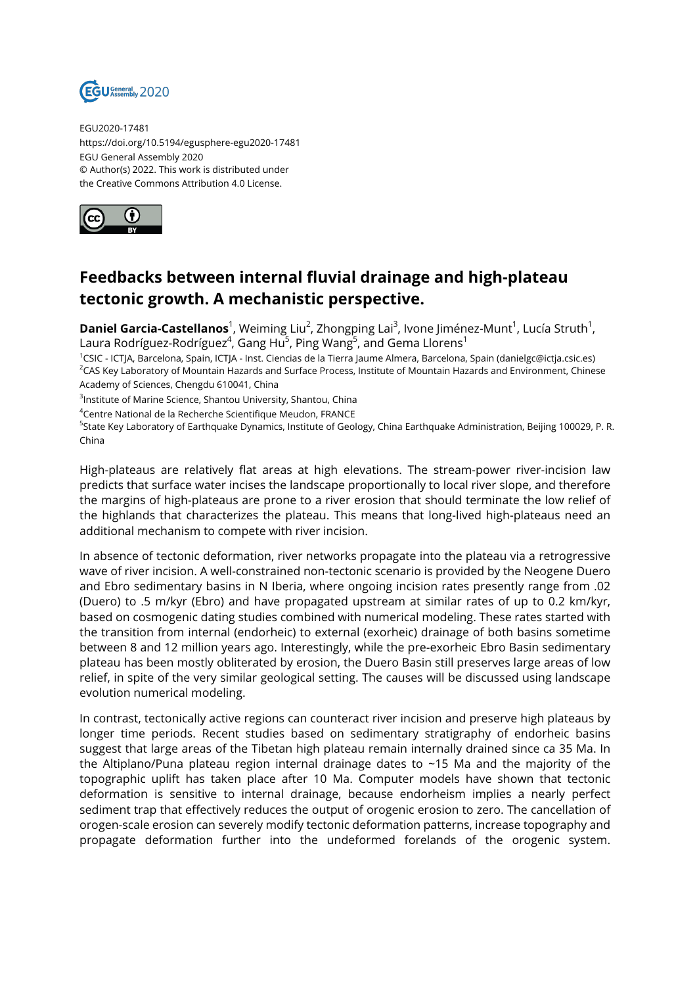

EGU2020-17481 https://doi.org/10.5194/egusphere-egu2020-17481 EGU General Assembly 2020 © Author(s) 2022. This work is distributed under the Creative Commons Attribution 4.0 License.



## **Feedbacks between internal fluvial drainage and high-plateau tectonic growth. A mechanistic perspective.**

**Daniel Garcia-Castellanos**<sup>1</sup>, Weiming Liu<sup>2</sup>, Zhongping Lai<sup>3</sup>, Ivone Jiménez-Munt<sup>1</sup>, Lucía Struth<sup>1</sup>, Laura Rodríguez-Rodríguez $^4$ , Gang Hu $^5$ , Ping Wang $^5$ , and Gema Llorens $^1$ 

<sup>1</sup>CSIC - ICTJA, Barcelona, Spain, ICTJA - Inst. Ciencias de la Tierra Jaume Almera, Barcelona, Spain (danielgc@ictja.csic.es) <sup>2</sup>CAS Key Laboratory of Mountain Hazards and Surface Process, Institute of Mountain Hazards and Environment, Chinese Academy of Sciences, Chengdu 610041, China

 $^3$ Institute of Marine Science, Shantou University, Shantou, China

<sup>4</sup>Centre National de la Recherche Scientifique Meudon, FRANCE

<sup>5</sup>State Key Laboratory of Earthquake Dynamics, Institute of Geology, China Earthquake Administration, Beijing 100029, P. R. China

High-plateaus are relatively flat areas at high elevations. The stream-power river-incision law predicts that surface water incises the landscape proportionally to local river slope, and therefore the margins of high-plateaus are prone to a river erosion that should terminate the low relief of the highlands that characterizes the plateau. This means that long-lived high-plateaus need an additional mechanism to compete with river incision.

In absence of tectonic deformation, river networks propagate into the plateau via a retrogressive wave of river incision. A well-constrained non-tectonic scenario is provided by the Neogene Duero and Ebro sedimentary basins in N Iberia, where ongoing incision rates presently range from .02 (Duero) to .5 m/kyr (Ebro) and have propagated upstream at similar rates of up to 0.2 km/kyr, based on cosmogenic dating studies combined with numerical modeling. These rates started with the transition from internal (endorheic) to external (exorheic) drainage of both basins sometime between 8 and 12 million years ago. Interestingly, while the pre-exorheic Ebro Basin sedimentary plateau has been mostly obliterated by erosion, the Duero Basin still preserves large areas of low relief, in spite of the very similar geological setting. The causes will be discussed using landscape evolution numerical modeling.

In contrast, tectonically active regions can counteract river incision and preserve high plateaus by longer time periods. Recent studies based on sedimentary stratigraphy of endorheic basins suggest that large areas of the Tibetan high plateau remain internally drained since ca 35 Ma. In the Altiplano/Puna plateau region internal drainage dates to ~15 Ma and the majority of the topographic uplift has taken place after 10 Ma. Computer models have shown that tectonic deformation is sensitive to internal drainage, because endorheism implies a nearly perfect sediment trap that effectively reduces the output of orogenic erosion to zero. The cancellation of orogen-scale erosion can severely modify tectonic deformation patterns, increase topography and propagate deformation further into the undeformed forelands of the orogenic system.